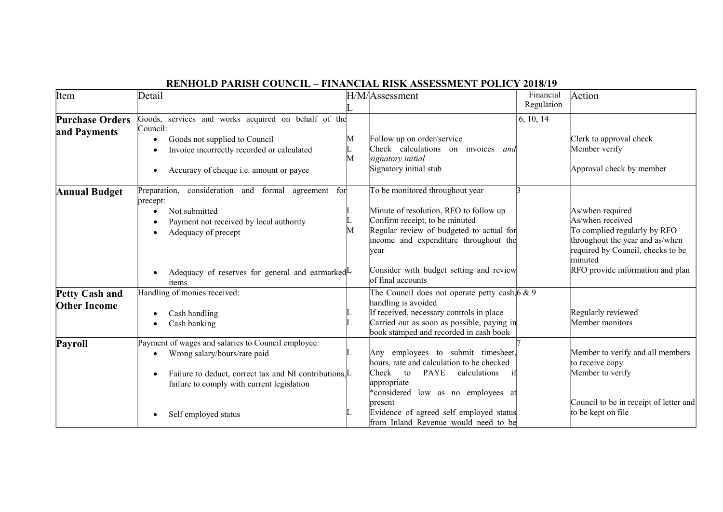| Item                                         | Detail                                                                                                                                                                                                                        |        | H/M/Assessment                                                                                                                                                                                                                                                                   | Financial<br>Regulation | Action                                                                                                                                                                                      |
|----------------------------------------------|-------------------------------------------------------------------------------------------------------------------------------------------------------------------------------------------------------------------------------|--------|----------------------------------------------------------------------------------------------------------------------------------------------------------------------------------------------------------------------------------------------------------------------------------|-------------------------|---------------------------------------------------------------------------------------------------------------------------------------------------------------------------------------------|
| <b>Purchase Orders</b><br>and Payments       | Goods, services and works acquired on behalf of the<br>Council:<br>Goods not supplied to Council<br>Invoice incorrectly recorded or calculated<br>Accuracy of cheque i.e. amount or payee                                     | M<br>M | Follow up on order/service<br>Check calculations on invoices and<br>signatory initial<br>Signatory initial stub                                                                                                                                                                  | 6, 10, 14               | Clerk to approval check<br>Member verify<br>Approval check by member                                                                                                                        |
| Annual Budget                                | Preparation, consideration and formal agreement<br>for<br>precept:<br>Not submitted<br>Payment not received by local authority<br>Adequacy of precept<br>Adequacy of reserves for general and earmarked $\mathbb{L}$<br>items | M      | To be monitored throughout year<br>Minute of resolution, RFO to follow up<br>Confirm receipt, to be minuted<br>Regular review of budgeted to actual for<br>income and expenditure throughout the<br>year<br>Consider with budget setting and review<br>of final accounts         |                         | As/when required<br>As/when received<br>To complied regularly by RFO<br>throughout the year and as/when<br>required by Council, checks to be<br>minuted<br>RFO provide information and plan |
| <b>Petty Cash and</b><br><b>Other Income</b> | Handling of monies received:<br>Cash handling<br>Cash banking                                                                                                                                                                 |        | The Council does not operate petty cash, $6 \& 9$<br>handling is avoided<br>If received, necessary controls in place<br>Carried out as soon as possible, paying in<br>book stamped and recorded in cash book                                                                     |                         | Regularly reviewed<br>Member monitors                                                                                                                                                       |
| Payroll                                      | Payment of wages and salaries to Council employee:<br>Wrong salary/hours/rate paid<br>Failure to deduct, correct tax and NI contributions, L<br>failure to comply with current legislation<br>Self employed status            |        | Any employees to submit timesheet,<br>hours, rate and calculation to be checked<br>Check<br><b>PAYE</b><br>calculations<br>to<br>appropriate<br>*considered low as no employees at<br>present<br>Evidence of agreed self employed status<br>from Inland Revenue would need to be |                         | Member to verify and all members<br>to receive copy<br>Member to verify<br>Council to be in receipt of letter and<br>to be kept on file                                                     |

## **RENHOLD PARISH COUNCIL – FINANCIAL RISK ASSESSMENT POLICY 2018/19**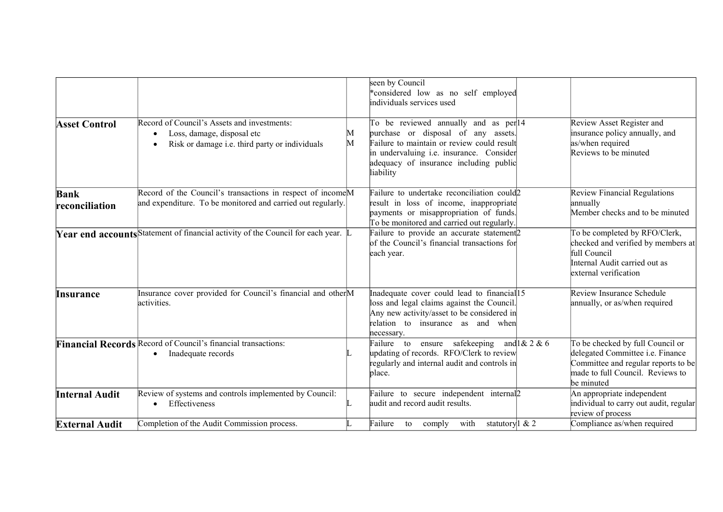|                               |                                                                                                                                       |        | seen by Council<br>*considered low as no self employed<br>individuals services used                                                                                                                                           |                                                                                                                                                               |
|-------------------------------|---------------------------------------------------------------------------------------------------------------------------------------|--------|-------------------------------------------------------------------------------------------------------------------------------------------------------------------------------------------------------------------------------|---------------------------------------------------------------------------------------------------------------------------------------------------------------|
| <b>Asset Control</b>          | Record of Council's Assets and investments:<br>Loss, damage, disposal etc<br>Risk or damage i.e. third party or individuals           | M<br>M | To be reviewed annually and as per 14<br>purchase or disposal of any assets.<br>Failure to maintain or review could result<br>in undervaluing i.e. insurance. Consider<br>adequacy of insurance including public<br>liability | Review Asset Register and<br>insurance policy annually, and<br>as/when required<br>Reviews to be minuted                                                      |
| <b>Bank</b><br>reconciliation | Record of the Council's transactions in respect of income <sup>M</sup><br>and expenditure. To be monitored and carried out regularly. |        | Failure to undertake reconciliation could2<br>result in loss of income, inappropriate<br>payments or misappropriation of funds.<br>To be monitored and carried out regularly.                                                 | Review Financial Regulations<br>annually<br>Member checks and to be minuted                                                                                   |
|                               | Year end accounts Statement of financial activity of the Council for each year. L                                                     |        | Failure to provide an accurate statement <sub>2</sub><br>of the Council's financial transactions for<br>each year.                                                                                                            | To be completed by RFO/Clerk,<br>checked and verified by members at<br>full Council<br>Internal Audit carried out as<br>external verification                 |
| <b>Insurance</b>              | Insurance cover provided for Council's financial and otherM<br>activities.                                                            |        | Inadequate cover could lead to financial 15<br>loss and legal claims against the Council.<br>Any new activity/asset to be considered in<br>relation to insurance as and when<br>necessary.                                    | Review Insurance Schedule<br>annually, or as/when required                                                                                                    |
|                               | Financial Records Record of Council's financial transactions:<br>Inadequate records                                                   |        | and $1 & 2 & 6$<br>ensure safekeeping<br>Failure to<br>updating of records. RFO/Clerk to review<br>regularly and internal audit and controls in<br>place.                                                                     | To be checked by full Council or<br>delegated Committee i.e. Finance<br>Committee and regular reports to be<br>made to full Council. Reviews to<br>be minuted |
| <b>Internal Audit</b>         | Review of systems and controls implemented by Council:<br>Effectiveness                                                               |        | Failure to secure independent internal<br>audit and record audit results.                                                                                                                                                     | An appropriate independent<br>individual to carry out audit, regular<br>review of process                                                                     |
| <b>External Audit</b>         | Completion of the Audit Commission process.                                                                                           |        | statutory <sup><math>\frac{1}{2}</math></sup> & 2<br>Failure to<br>comply<br>with                                                                                                                                             | Compliance as/when required                                                                                                                                   |